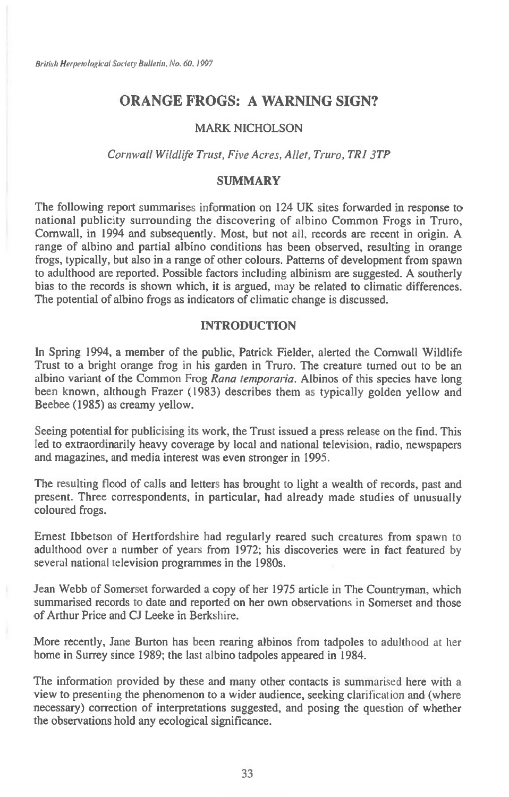# **ORANGE FROGS: A WARNING SIGN?**

### **MARK NICHOLSON**

#### *Cornwall Wildlife Trust, Five Acres, Allet, Truro, TRI 3TP*

### **SUMMARY**

**The following report summarises information on 124 UK sites forwarded in response to national publicity surrounding the discovering of albino Common Frogs in Truro, Cornwall, in 1994 and subsequently. Most, but not all, records are recent in origin. A range of albino and partial albino conditions has been observed, resulting in orange frogs, typically, but also in a range of other colours. Patterns of development from spawn to adulthood are reported. Possible factors including albinism are suggested. A southerly bias to the records is shown which, it is argued,** may **be related to climatic differences. The potential of albino frogs as indicators of climatic change is discussed.** 

### **INTRODUCTION**

**In Spring 1994, a member of the public, Patrick Fielder, alerted the Cornwall Wildlife Trust to a bright orange frog** *in* **his garden in Truro. The creature turned out to be an albino variant of the Common Frog** *Rana temporaria.* **Albinos of this species have long been known, although Frazer (1983) describes them as typically golden yellow and Beebee (1985) as creamy yellow.** 

**Seeing potential for publicising its work, the Trust issued a press release on the find. This led to extraordinarily heavy coverage by local and national television, radio, newspapers and magazines, and media interest was even stronger in 1995.** 

**The resulting flood of calls and letters has brought to light a wealth of records, past and present. Three correspondents, in particular, had already made studies of unusually coloured frogs.** 

**Ernest Ibbetson of Hertfordshire had regularly reared such creatures from spawn to adulthood over** a **number of years from 1972; his discoveries were in fact featured by several national television programmes in the 1980s.** 

**Jean Webb of Somerset forwarded a copy of her 1975 article in The Countryman, which summarised records to date and reported on her own observations** in **Somerset and those of Arthur Price and CJ Leeke in Berkshire.** 

**More recently, Jane Burton has been rearing albinos from tadpoles to adulthood** at **her home in Surrey since 1989; the last albino tadpoles appeared in 1984.** 

**The information provided by these and many other contacts is** summarised **here with a view to presenting the phenomenon to a wider audience, seeking clarification and (where necessary) correction of interpretations suggested, and posing the question of whether the observations hold any ecological significance.**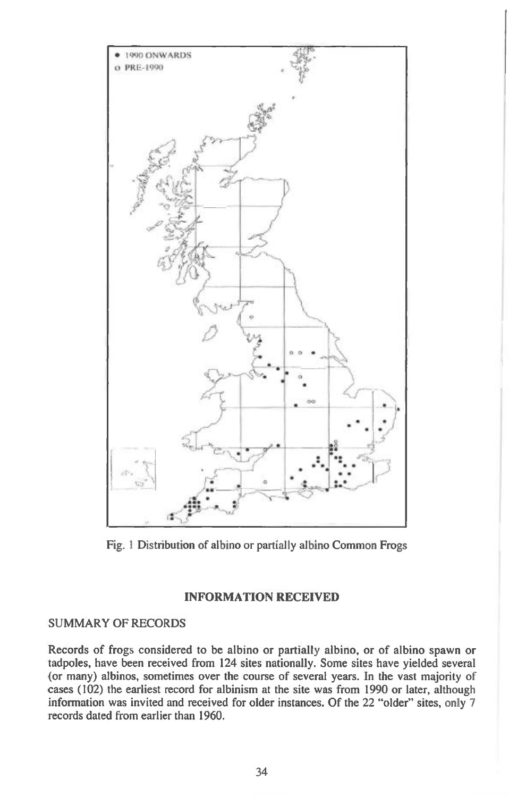

**Fig. 1 Distribution of albino or partially albino Common Frogs** 

### **INFORMATION RECEIVED**

## **SUMMARY OF RECORDS**

**Records of frogs considered to be albino or partially albino, or of albino spawn or tadpoles, have been received from 124 sites nationally. Some sites have yielded several (or many) albinos, sometimes over the course of several years. In the vast majority of cases (102) the earliest record for albinism at the site was from 1990 or later, although information was invited and received for older instances. Of the 22 "older" sites, only 7 records dated from earlier than 1960.**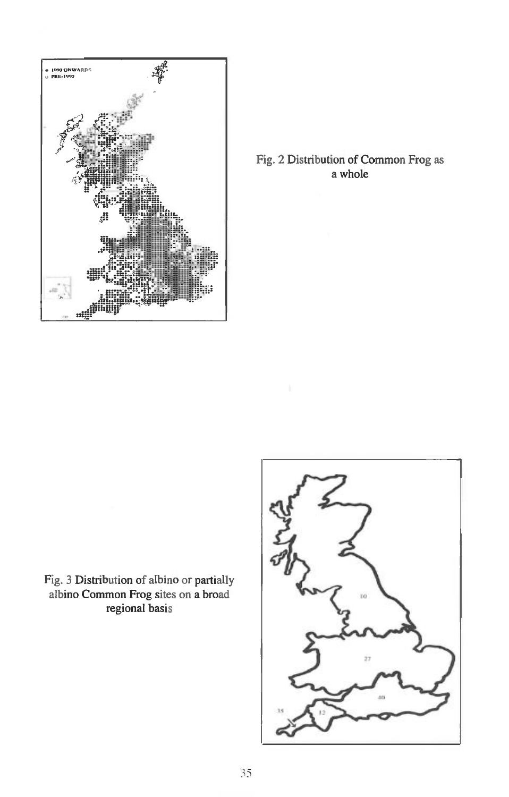

## Fig. 2 Distribution of Common Frog as a whole

Fig. 3 Distribution of albino or partially albino Common Frog sites on a broad regional basis

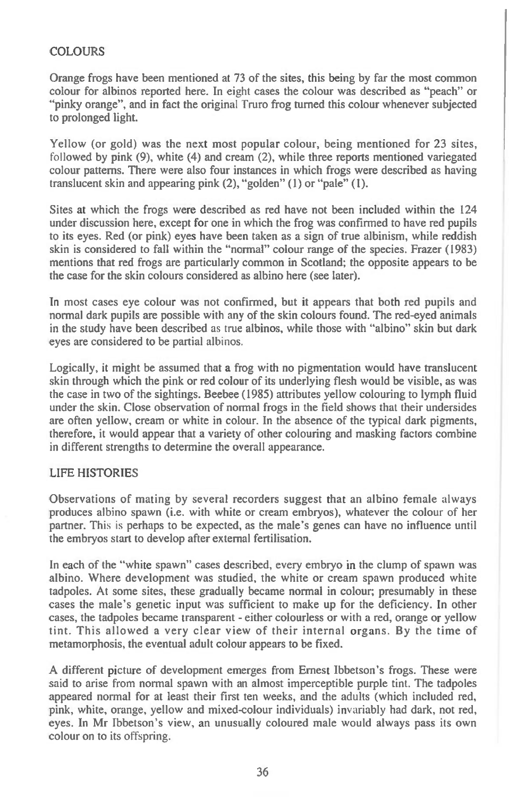## **COLOURS**

Orange frogs have been mentioned at 73 of the sites, this being by far the most common colour for albinos reported here. In eight cases the colour was described as "peach" or "pinky orange", and in fact the original Truro frog turned this colour whenever subjected to prolonged light.

Yellow (or gold) was the next most popular colour, being mentioned for 23 sites, followed by pink (9), white (4) and cream (2), while three reports mentioned variegated colour patterns. There were also four instances in which frogs were described as having translucent skin and appearing pink (2), "golden" (1) or "pale" (1).

Sites at which the frogs were described as red have not been included within the 124 under discussion here, except for one in which the frog was confirmed to have red pupils to its eyes. Red (or pink) eyes have been taken as a sign of true albinism, while reddish skin is considered to fall within the "normal" colour range of the species. Frazer (1983) mentions that red frogs are particularly common in Scotland; the opposite appears to be the case for the skin colours considered as albino here (see later).

In most cases eye colour was not confirmed, but it appears that both red pupils and normal dark pupils are possible with any of the skin colours found. The red-eyed animals in the study have been described as true albinos, while those with "albino" skin but dark eyes are considered to be partial albinos.

Logically, it might be assumed that a frog with no pigmentation would have translucent skin through which the pink or red colour of its underlying flesh would be visible, as was the case in two of the sightings. Beebee (1985) attributes yellow colouring to lymph fluid under the skin. Close observation of normal frogs in the field shows that their undersides are often yellow, cream or white in colour. In the absence of the typical dark pigments, therefore, it would appear that a variety of other colouring and masking factors combine in different strengths to determine the overall appearance.

### LIFE HISTORIES

Observations of mating by several recorders suggest that an albino female always produces albino spawn (i.e. with white or cream embryos), whatever the colour of her partner. This is perhaps to be expected, as the male's genes can have no influence until the embryos start to develop after external fertilisation.

In each of the "white spawn" cases described, every embryo in the clump of spawn was albino. Where development was studied, the white or cream spawn produced white tadpoles. At some sites, these gradually became normal in colour; presumably in these cases the male's genetic input was sufficient to make up for the deficiency. In other cases, the tadpoles became transparent - either colourless or with a red, orange or yellow tint. This allowed a very clear view of their internal organs. By the time of metamorphosis, the eventual adult colour appears to be fixed.

A different picture of development emerges from Ernest Ibbetson's frogs. These were said to arise from normal spawn with an almost imperceptible purple tint. The tadpoles appeared normal for at least their first ten weeks, and the adults (which included red, pink, white, orange, yellow and mixed-colour individuals) invariably had dark, not red, eyes. In Mr Ibbetson's view, an unusually coloured male would always pass its own colour on to its offspring.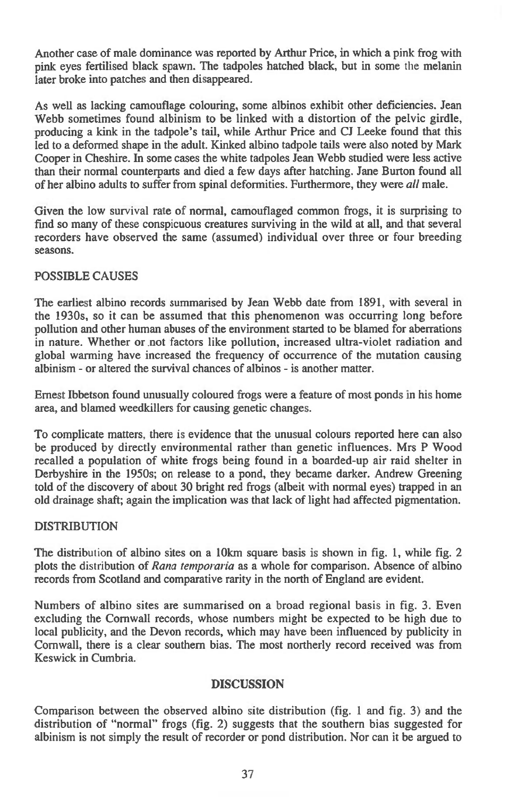Another case of male dominance was reported by Arthur Price, in which a pink frog with pink eyes fertilised black spawn. The tadpoles hatched black, but in some the melanin later broke into patches and then disappeared.

As well as lacking camouflage colouring, some albinos exhibit other deficiencies. Jean Webb sometimes found albinism to be linked with a distortion of the pelvic girdle, producing a kink in the tadpole's tail, while Arthur Price and CJ Leeke found that this led to a deformed shape in the adult. Kinked albino tadpole tails were also noted by Mark Cooper in Cheshire. In some cases the white tadpoles Jean Webb studied were less active than their normal counterparts and died a few days after hatching. Jane Burton found all of her albino adults to suffer from spinal deformities. Furthermore, they were *all* male.

Given the low survival rate of normal, camouflaged common frogs, it is surprising to find so many of these conspicuous creatures surviving in the wild at all, and that several recorders have observed the same (assumed) individual over three or four breeding seasons.

## POSSIBLE CAUSES

The earliest albino records summarised by Jean Webb date from 1891, with several in the 1930s, so it can be assumed that this phenomenon was occurring long before pollution and other human abuses of the environment started to be blamed for aberrations in nature. Whether or. mot factors like pollution, increased ultra-violet radiation and global warming have increased the frequency of occurrence of the mutation causing albinism - or altered the survival chances of albinos - is another matter.

Ernest Ibbetson found unusually coloured frogs were a feature of most ponds in his home area, and blamed weedkillers for causing genetic changes.

To complicate matters, there is evidence that the unusual colours reported here can also be produced by directly environmental rather than genetic influences. Mrs P Wood recalled a population of white frogs being found in a boarded-up air raid shelter in Derbyshire in the 1950s; on release to a pond, they became darker. Andrew Greening told of the discovery of about 30 bright red frogs (albeit with normal eyes) trapped in an old drainage shaft; again the implication was that lack of light had affected pigmentation.

### DISTRIBUTION

The distribution of albino sites on a 10km square basis is shown in fig. 1, while fig. 2 plots the distribution of *Rana temporaria as* a whole for comparison. Absence of albino records from Scotland and comparative rarity in the north of England are evident.

Numbers of albino sites are summarised on a broad regional basis in fig. 3. Even excluding the Cornwall records, whose numbers might be expected to be high due to local publicity, and the Devon records, which may have been influenced by publicity in Cornwall, there is a clear southern bias. The most northerly record received was from Keswick in Cumbria.

### **DISCUSSION**

Comparison between the observed albino site distribution (fig. 1 and fig. 3) and the distribution of "normal" frogs (fig. 2) suggests that the southern bias suggested for albinism is not simply the result of recorder or pond distribution. Nor can it be argued to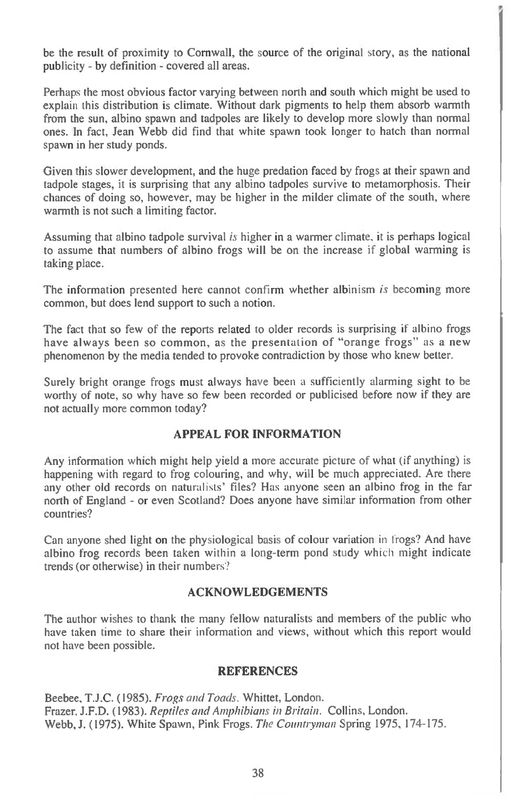be the result of proximity to Cornwall, the source of the original story, as the national publicity - by definition - covered all areas.

Perhaps the most obvious factor varying between north and south which might be used to explain this distribution is climate. Without dark pigments to help them absorb warmth from the sun, albino spawn and tadpoles are likely to develop more slowly than normal ones. In fact, Jean Webb did find that white spawn took longer to hatch than normal spawn in her study ponds.

Given this slower development, and the huge predation faced by frogs at their spawn and tadpole stages, it is surprising that any albino tadpoles survive to metamorphosis. Their chances of doing so, however, may be higher in the milder climate of the south, where warmth is not such a limiting factor.

Assuming that albino tadpole survival *is* higher in a warmer climate, it is perhaps logical to assume that numbers of albino frogs will be on the increase if global warming is taking place.

The information presented here cannot confirm whether albinism is becoming more common, but does lend support to such a notion.

The fact that so few of the reports related to older records is surprising if albino frogs have always been so common, as the presentation of "orange frogs" as a new phenomenon by the media tended to provoke contradiction by those who knew better.

Surely bright orange frogs must always have been a sufficiently alarming sight to be worthy of note, so why have so few been recorded or publicised before now if they are not actually more common today?

### **APPEAL FOR INFORMATION**

Any information which might help yield a more accurate picture of what (if anything) is happening with regard to frog colouring, and why, will be much appreciated. Are there any other old records on naturalists' files? Has anyone seen an albino frog in the far north of England - or even Scotland? Does anyone have similar information from other countries?

Can anyone shed light on the physiological basic of colour variation in frogs? And have albino frog records been taken within a long-term pond study which might indicate trends (or otherwise) in their numbers'?

#### **ACKNOWLEDGEMENTS**

The author wishes to thank the many fellow naturalists and members of the public who have taken time to share their information and views, without which this report would not have been possible.

### **REFERENCES**

Beebee, T.J.C. (1985). Frogs and Toads. Whittet, London. Frazer, **J.F.D. (1983).** Reptiles and Amphibians in Britain. Collins, London. Webb, J. (1975). White Spawn, Pink Frogs. The Countryman Spring 1975, 174-175.